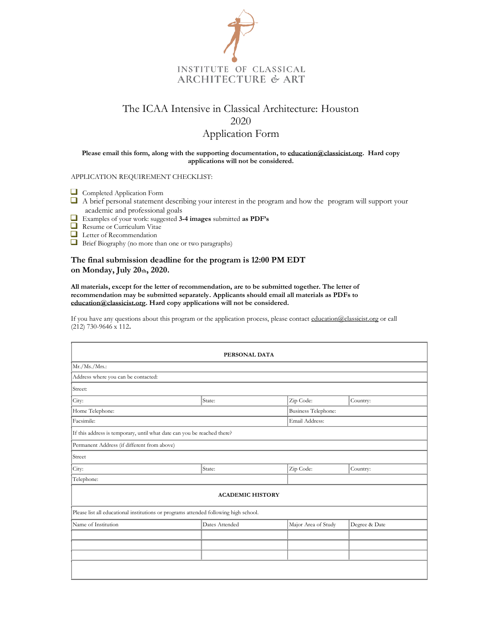

## The ICAA Intensive in Classical Architecture: Houston 2020 Application Form

## **Please email this form, along with the supporting documentation, t[o education@classicist.org.](mailto:education@classicist.org) Hard copy applications will not be considered.**

APPLICATION REQUIREMENT CHECKLIST:

- Completed Application Form
- $\Box$  A brief personal statement describing your interest in the program and how the program will support your academic and professional goals
- Examples of your work: suggested **3-4 images** submitted **as PDF's**
- Resume or Curriculum Vitae
- Letter of Recommendation
- Brief Biography (no more than one or two paragraphs)

## **The final submission deadline for the program is 12:00 PM EDT on Monday, July 20th, 2020.**

**All materials, except for the letter of recommendation, are to be submitted together. The letter of recommendation may be submitted separately. Applicants should email all materials as PDFs to [education@classicist.org.](mailto:education@classicist.org) Hard copy applications will not be considered.**

If you have any questions about this program or the application process, please contac[t education@classicist.org](mailto:education@classicist.org) or call (212) 730-9646 x 112**.** 

| PERSONAL DATA                                                                        |                         |                            |               |  |  |  |
|--------------------------------------------------------------------------------------|-------------------------|----------------------------|---------------|--|--|--|
| Mr./Ms./Mrs.                                                                         |                         |                            |               |  |  |  |
| Address where you can be contacted:                                                  |                         |                            |               |  |  |  |
| Street:                                                                              |                         |                            |               |  |  |  |
| City:                                                                                | State:                  | Zip Code:                  | Country:      |  |  |  |
| Home Telephone:                                                                      |                         | <b>Business Telephone:</b> |               |  |  |  |
| Facsimile:                                                                           |                         | Email Address:             |               |  |  |  |
| If this address is temporary, until what date can you be reached there?              |                         |                            |               |  |  |  |
| Permanent Address (if different from above)                                          |                         |                            |               |  |  |  |
| Street                                                                               |                         |                            |               |  |  |  |
| City:                                                                                | State:                  | Zip Code:                  | Country:      |  |  |  |
| Telephone:                                                                           |                         |                            |               |  |  |  |
|                                                                                      | <b>ACADEMIC HISTORY</b> |                            |               |  |  |  |
| Please list all educational institutions or programs attended following high school. |                         |                            |               |  |  |  |
| Name of Institution                                                                  | Dates Attended          | Major Area of Study        | Degree & Date |  |  |  |
|                                                                                      |                         |                            |               |  |  |  |
|                                                                                      |                         |                            |               |  |  |  |
|                                                                                      |                         |                            |               |  |  |  |
|                                                                                      |                         |                            |               |  |  |  |